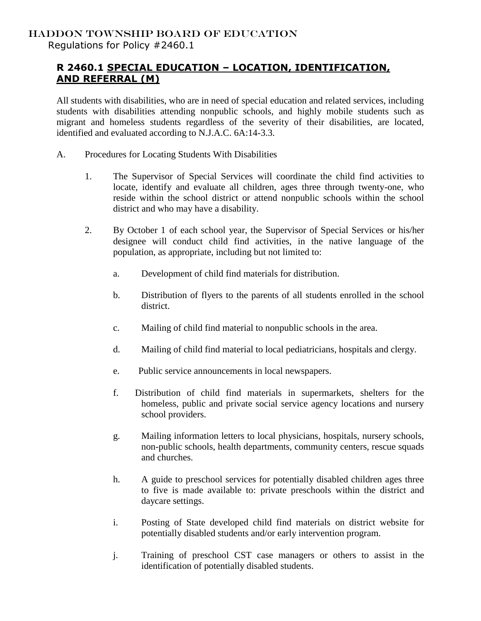## **R 2460.1 SPECIAL EDUCATION – LOCATION, IDENTIFICATION, AND REFERRAL (M)**

All students with disabilities, who are in need of special education and related services, including students with disabilities attending nonpublic schools, and highly mobile students such as migrant and homeless students regardless of the severity of their disabilities, are located, identified and evaluated according to N.J.A.C. 6A:14-3.3.

- A. Procedures for Locating Students With Disabilities
	- 1. The Supervisor of Special Services will coordinate the child find activities to locate, identify and evaluate all children, ages three through twenty-one, who reside within the school district or attend nonpublic schools within the school district and who may have a disability.
	- 2. By October 1 of each school year, the Supervisor of Special Services or his/her designee will conduct child find activities, in the native language of the population, as appropriate, including but not limited to:
		- a. Development of child find materials for distribution.
		- b. Distribution of flyers to the parents of all students enrolled in the school district.
		- c. Mailing of child find material to nonpublic schools in the area.
		- d. Mailing of child find material to local pediatricians, hospitals and clergy.
		- e. Public service announcements in local newspapers.
		- f. Distribution of child find materials in supermarkets, shelters for the homeless, public and private social service agency locations and nursery school providers.
		- g. Mailing information letters to local physicians, hospitals, nursery schools, non-public schools, health departments, community centers, rescue squads and churches.
		- h. A guide to preschool services for potentially disabled children ages three to five is made available to: private preschools within the district and daycare settings.
		- i. Posting of State developed child find materials on district website for potentially disabled students and/or early intervention program.
		- j. Training of preschool CST case managers or others to assist in the identification of potentially disabled students.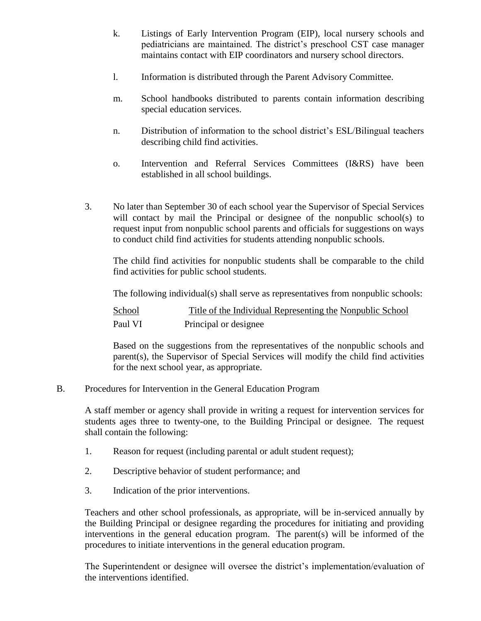- k. Listings of Early Intervention Program (EIP), local nursery schools and pediatricians are maintained. The district's preschool CST case manager maintains contact with EIP coordinators and nursery school directors.
- l. Information is distributed through the Parent Advisory Committee.
- m. School handbooks distributed to parents contain information describing special education services.
- n. Distribution of information to the school district's ESL/Bilingual teachers describing child find activities.
- o. Intervention and Referral Services Committees (I&RS) have been established in all school buildings.
- 3. No later than September 30 of each school year the Supervisor of Special Services will contact by mail the Principal or designee of the nonpublic school(s) to request input from nonpublic school parents and officials for suggestions on ways to conduct child find activities for students attending nonpublic schools.

The child find activities for nonpublic students shall be comparable to the child find activities for public school students.

The following individual(s) shall serve as representatives from nonpublic schools:

| School  | Title of the Individual Representing the Nonpublic School |
|---------|-----------------------------------------------------------|
| Paul VI | Principal or designee                                     |

Based on the suggestions from the representatives of the nonpublic schools and parent(s), the Supervisor of Special Services will modify the child find activities for the next school year, as appropriate.

B. Procedures for Intervention in the General Education Program

A staff member or agency shall provide in writing a request for intervention services for students ages three to twenty-one, to the Building Principal or designee. The request shall contain the following:

- 1. Reason for request (including parental or adult student request);
- 2. Descriptive behavior of student performance; and
- 3. Indication of the prior interventions.

Teachers and other school professionals, as appropriate, will be in-serviced annually by the Building Principal or designee regarding the procedures for initiating and providing interventions in the general education program. The parent(s) will be informed of the procedures to initiate interventions in the general education program.

The Superintendent or designee will oversee the district's implementation/evaluation of the interventions identified.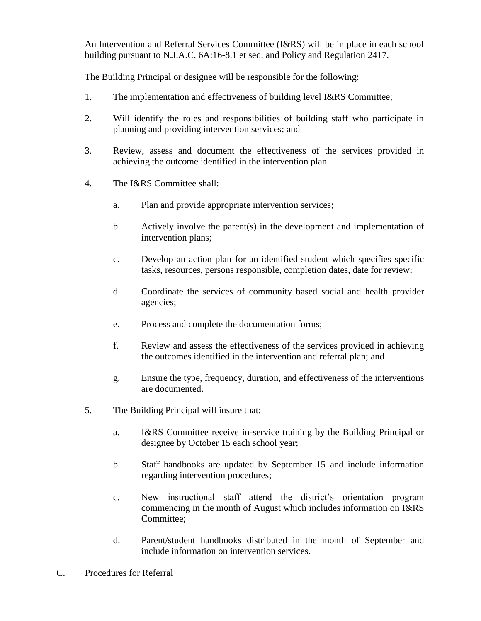An Intervention and Referral Services Committee (I&RS) will be in place in each school building pursuant to N.J.A.C. 6A:16-8.1 et seq. and Policy and Regulation 2417.

The Building Principal or designee will be responsible for the following:

- 1. The implementation and effectiveness of building level I&RS Committee;
- 2. Will identify the roles and responsibilities of building staff who participate in planning and providing intervention services; and
- 3. Review, assess and document the effectiveness of the services provided in achieving the outcome identified in the intervention plan.
- 4. The I&RS Committee shall:
	- a. Plan and provide appropriate intervention services;
	- b. Actively involve the parent(s) in the development and implementation of intervention plans;
	- c. Develop an action plan for an identified student which specifies specific tasks, resources, persons responsible, completion dates, date for review;
	- d. Coordinate the services of community based social and health provider agencies;
	- e. Process and complete the documentation forms;
	- f. Review and assess the effectiveness of the services provided in achieving the outcomes identified in the intervention and referral plan; and
	- g. Ensure the type, frequency, duration, and effectiveness of the interventions are documented.
- 5. The Building Principal will insure that:
	- a. I&RS Committee receive in-service training by the Building Principal or designee by October 15 each school year;
	- b. Staff handbooks are updated by September 15 and include information regarding intervention procedures;
	- c. New instructional staff attend the district's orientation program commencing in the month of August which includes information on I&RS Committee;
	- d. Parent/student handbooks distributed in the month of September and include information on intervention services.
- C. Procedures for Referral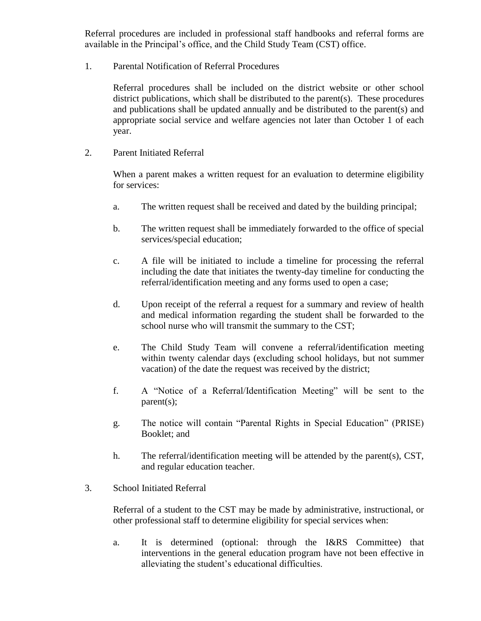Referral procedures are included in professional staff handbooks and referral forms are available in the Principal's office, and the Child Study Team (CST) office.

1. Parental Notification of Referral Procedures

Referral procedures shall be included on the district website or other school district publications, which shall be distributed to the parent(s). These procedures and publications shall be updated annually and be distributed to the parent(s) and appropriate social service and welfare agencies not later than October 1 of each year.

2. Parent Initiated Referral

When a parent makes a written request for an evaluation to determine eligibility for services:

- a. The written request shall be received and dated by the building principal;
- b. The written request shall be immediately forwarded to the office of special services/special education;
- c. A file will be initiated to include a timeline for processing the referral including the date that initiates the twenty-day timeline for conducting the referral/identification meeting and any forms used to open a case;
- d. Upon receipt of the referral a request for a summary and review of health and medical information regarding the student shall be forwarded to the school nurse who will transmit the summary to the CST;
- e. The Child Study Team will convene a referral/identification meeting within twenty calendar days (excluding school holidays, but not summer vacation) of the date the request was received by the district;
- f. A "Notice of a Referral/Identification Meeting" will be sent to the parent(s);
- g. The notice will contain "Parental Rights in Special Education" (PRISE) Booklet; and
- h. The referral/identification meeting will be attended by the parent(s), CST, and regular education teacher.
- 3. School Initiated Referral

Referral of a student to the CST may be made by administrative, instructional, or other professional staff to determine eligibility for special services when:

a. It is determined (optional: through the I&RS Committee) that interventions in the general education program have not been effective in alleviating the student's educational difficulties.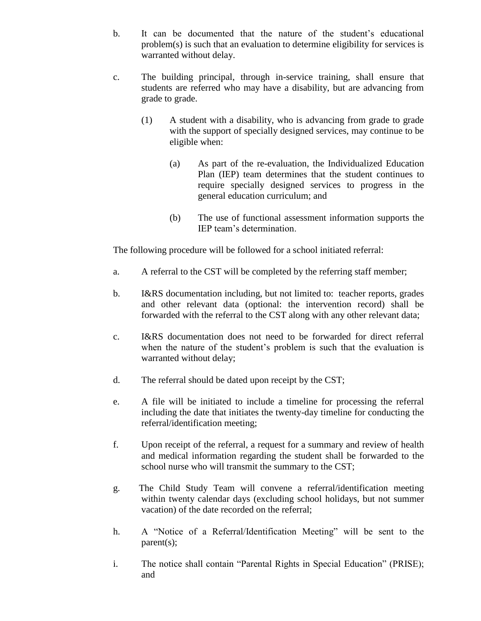- b. It can be documented that the nature of the student's educational problem(s) is such that an evaluation to determine eligibility for services is warranted without delay.
- c. The building principal, through in-service training, shall ensure that students are referred who may have a disability, but are advancing from grade to grade.
	- (1) A student with a disability, who is advancing from grade to grade with the support of specially designed services, may continue to be eligible when:
		- (a) As part of the re-evaluation, the Individualized Education Plan (IEP) team determines that the student continues to require specially designed services to progress in the general education curriculum; and
		- (b) The use of functional assessment information supports the IEP team's determination.

The following procedure will be followed for a school initiated referral:

- a. A referral to the CST will be completed by the referring staff member;
- b. I&RS documentation including, but not limited to: teacher reports, grades and other relevant data (optional: the intervention record) shall be forwarded with the referral to the CST along with any other relevant data;
- c. I&RS documentation does not need to be forwarded for direct referral when the nature of the student's problem is such that the evaluation is warranted without delay;
- d. The referral should be dated upon receipt by the CST;
- e. A file will be initiated to include a timeline for processing the referral including the date that initiates the twenty-day timeline for conducting the referral/identification meeting;
- f. Upon receipt of the referral, a request for a summary and review of health and medical information regarding the student shall be forwarded to the school nurse who will transmit the summary to the CST;
- g. The Child Study Team will convene a referral/identification meeting within twenty calendar days (excluding school holidays, but not summer vacation) of the date recorded on the referral;
- h. A "Notice of a Referral/Identification Meeting" will be sent to the parent(s);
- i. The notice shall contain "Parental Rights in Special Education" (PRISE); and